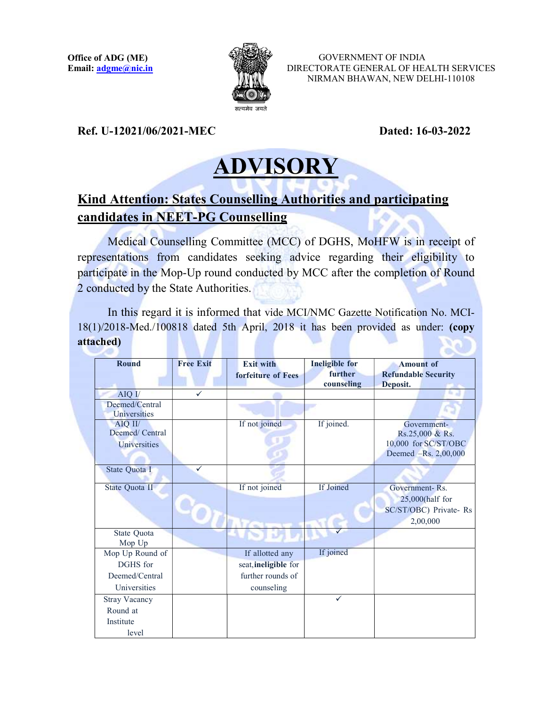

 GOVERNMENT OF INDIA DIRECTORATE GENERAL OF HEALTH SERVICES NIRMAN BHAWAN, NEW DELHI-110108

## Ref. U-12021/06/2021-MEC Dated: 16-03-2022

## **ADVISORY**

## Kind Attention: States Counselling Authorities and participating candidates in NEET-PG Counselling

 Medical Counselling Committee (MCC) of DGHS, MoHFW is in receipt of representations from candidates seeking advice regarding their eligibility to participate in the Mop-Up round conducted by MCC after the completion of Round 2 conducted by the State Authorities.

 In this regard it is informed that vide MCI/NMC Gazette Notification No. MCI-18(1)/2018-Med./100818 dated 5th April, 2018 it has been provided as under: (copy attached)

| <b>Round</b>                   | <b>Free Exit</b> | <b>Exit with</b>     | <b>Ineligible for</b> | <b>Amount of</b>                                                          |
|--------------------------------|------------------|----------------------|-----------------------|---------------------------------------------------------------------------|
|                                |                  | forfeiture of Fees   | further               | <b>Refundable Security</b>                                                |
|                                |                  |                      | counseling            | Deposit.                                                                  |
| $AIQ$ $I/$                     | $\checkmark$     |                      |                       | 43                                                                        |
| Deemed/Central<br>Universities |                  |                      |                       |                                                                           |
| AIQ II/<br>Deemed/ Central     |                  | If not joined        | If joined.            | Government-<br>Rs.25,000 & Rs.                                            |
| Universities                   |                  |                      |                       | 10,000 for SC/ST/OBC<br>Deemed -Rs. 2,00,000                              |
| State Quota I                  | ✓                |                      |                       |                                                                           |
| State Quota II                 |                  | If not joined        | If Joined             | Government-Rs.<br>$25,000$ (half for<br>SC/ST/OBC) Private-Rs<br>2,00,000 |
| State Quota<br>Mop Up          |                  |                      | $\sqrt{}$             |                                                                           |
| Mop Up Round of                |                  | If allotted any      | If joined             |                                                                           |
| DGHS for                       |                  | seat, ineligible for |                       |                                                                           |
| Deemed/Central                 |                  | further rounds of    |                       |                                                                           |
| Universities                   |                  | counseling           |                       |                                                                           |
| <b>Stray Vacancy</b>           |                  |                      | $\checkmark$          |                                                                           |
| Round at                       |                  |                      |                       |                                                                           |
| Institute                      |                  |                      |                       |                                                                           |
| level                          |                  |                      |                       |                                                                           |